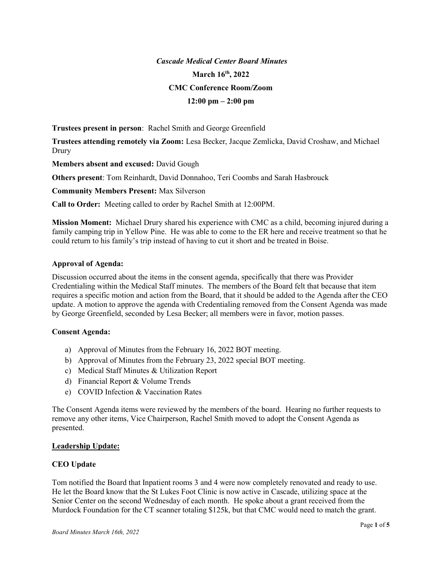# Cascade Medical Center Board Minutes March 16th, 2022 CMC Conference Room/Zoom  $12:00 \text{ pm} - 2:00 \text{ pm}$

Trustees present in person: Rachel Smith and George Greenfield

Trustees attending remotely via Zoom: Lesa Becker, Jacque Zemlicka, David Croshaw, and Michael Drury

Members absent and excused: David Gough

Others present: Tom Reinhardt, David Donnahoo, Teri Coombs and Sarah Hasbrouck

Community Members Present: Max Silverson

Call to Order: Meeting called to order by Rachel Smith at 12:00PM.

Mission Moment: Michael Drury shared his experience with CMC as a child, becoming injured during a family camping trip in Yellow Pine. He was able to come to the ER here and receive treatment so that he could return to his family's trip instead of having to cut it short and be treated in Boise.

## Approval of Agenda:

Discussion occurred about the items in the consent agenda, specifically that there was Provider Credentialing within the Medical Staff minutes. The members of the Board felt that because that item requires a specific motion and action from the Board, that it should be added to the Agenda after the CEO update. A motion to approve the agenda with Credentialing removed from the Consent Agenda was made by George Greenfield, seconded by Lesa Becker; all members were in favor, motion passes.

## Consent Agenda:

- a) Approval of Minutes from the February 16, 2022 BOT meeting.
- b) Approval of Minutes from the February 23, 2022 special BOT meeting.
- c) Medical Staff Minutes & Utilization Report
- d) Financial Report & Volume Trends
- e) COVID Infection & Vaccination Rates

The Consent Agenda items were reviewed by the members of the board. Hearing no further requests to remove any other items, Vice Chairperson, Rachel Smith moved to adopt the Consent Agenda as presented.

## Leadership Update:

## CEO Update

Tom notified the Board that Inpatient rooms 3 and 4 were now completely renovated and ready to use. He let the Board know that the St Lukes Foot Clinic is now active in Cascade, utilizing space at the Senior Center on the second Wednesday of each month. He spoke about a grant received from the Murdock Foundation for the CT scanner totaling \$125k, but that CMC would need to match the grant.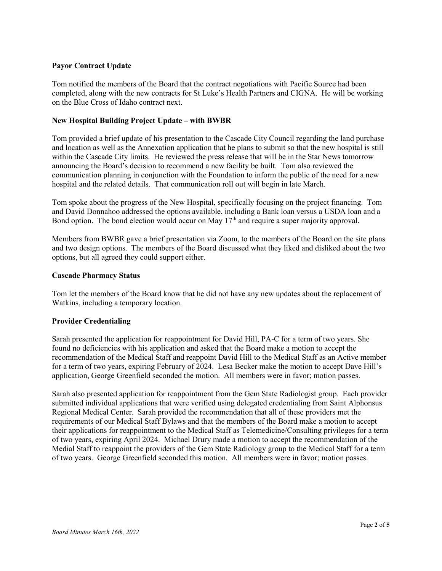## Payor Contract Update

Tom notified the members of the Board that the contract negotiations with Pacific Source had been completed, along with the new contracts for St Luke's Health Partners and CIGNA. He will be working on the Blue Cross of Idaho contract next.

## New Hospital Building Project Update – with BWBR

Tom provided a brief update of his presentation to the Cascade City Council regarding the land purchase and location as well as the Annexation application that he plans to submit so that the new hospital is still within the Cascade City limits. He reviewed the press release that will be in the Star News tomorrow announcing the Board's decision to recommend a new facility be built. Tom also reviewed the communication planning in conjunction with the Foundation to inform the public of the need for a new hospital and the related details. That communication roll out will begin in late March.

Tom spoke about the progress of the New Hospital, specifically focusing on the project financing. Tom and David Donnahoo addressed the options available, including a Bank loan versus a USDA loan and a Bond option. The bond election would occur on May 17<sup>th</sup> and require a super majority approval.

Members from BWBR gave a brief presentation via Zoom, to the members of the Board on the site plans and two design options. The members of the Board discussed what they liked and disliked about the two options, but all agreed they could support either.

## Cascade Pharmacy Status

Tom let the members of the Board know that he did not have any new updates about the replacement of Watkins, including a temporary location.

## Provider Credentialing

Sarah presented the application for reappointment for David Hill, PA-C for a term of two years. She found no deficiencies with his application and asked that the Board make a motion to accept the recommendation of the Medical Staff and reappoint David Hill to the Medical Staff as an Active member for a term of two years, expiring February of 2024. Lesa Becker make the motion to accept Dave Hill's application, George Greenfield seconded the motion. All members were in favor; motion passes.

Sarah also presented application for reappointment from the Gem State Radiologist group. Each provider submitted individual applications that were verified using delegated credentialing from Saint Alphonsus Regional Medical Center. Sarah provided the recommendation that all of these providers met the requirements of our Medical Staff Bylaws and that the members of the Board make a motion to accept their applications for reappointment to the Medical Staff as Telemedicine/Consulting privileges for a term of two years, expiring April 2024. Michael Drury made a motion to accept the recommendation of the Medial Staff to reappoint the providers of the Gem State Radiology group to the Medical Staff for a term of two years. George Greenfield seconded this motion. All members were in favor; motion passes.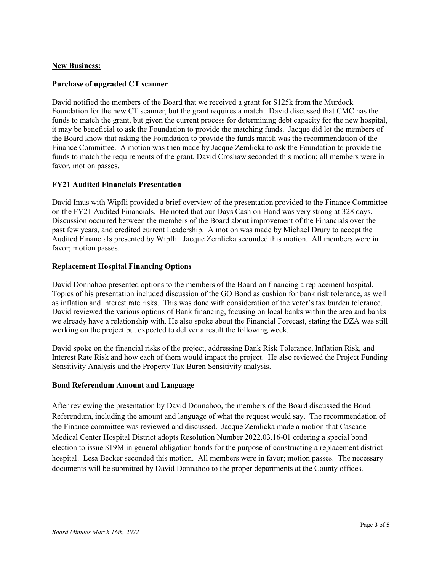## New Business:

### Purchase of upgraded CT scanner

David notified the members of the Board that we received a grant for \$125k from the Murdock Foundation for the new CT scanner, but the grant requires a match. David discussed that CMC has the funds to match the grant, but given the current process for determining debt capacity for the new hospital, it may be beneficial to ask the Foundation to provide the matching funds. Jacque did let the members of the Board know that asking the Foundation to provide the funds match was the recommendation of the Finance Committee. A motion was then made by Jacque Zemlicka to ask the Foundation to provide the funds to match the requirements of the grant. David Croshaw seconded this motion; all members were in favor, motion passes.

## FY21 Audited Financials Presentation

David Imus with Wipfli provided a brief overview of the presentation provided to the Finance Committee on the FY21 Audited Financials. He noted that our Days Cash on Hand was very strong at 328 days. Discussion occurred between the members of the Board about improvement of the Financials over the past few years, and credited current Leadership. A motion was made by Michael Drury to accept the Audited Financials presented by Wipfli. Jacque Zemlicka seconded this motion. All members were in favor; motion passes.

### Replacement Hospital Financing Options

David Donnahoo presented options to the members of the Board on financing a replacement hospital. Topics of his presentation included discussion of the GO Bond as cushion for bank risk tolerance, as well as inflation and interest rate risks. This was done with consideration of the voter's tax burden tolerance. David reviewed the various options of Bank financing, focusing on local banks within the area and banks we already have a relationship with. He also spoke about the Financial Forecast, stating the DZA was still working on the project but expected to deliver a result the following week.

David spoke on the financial risks of the project, addressing Bank Risk Tolerance, Inflation Risk, and Interest Rate Risk and how each of them would impact the project. He also reviewed the Project Funding Sensitivity Analysis and the Property Tax Buren Sensitivity analysis.

#### Bond Referendum Amount and Language

After reviewing the presentation by David Donnahoo, the members of the Board discussed the Bond Referendum, including the amount and language of what the request would say. The recommendation of the Finance committee was reviewed and discussed. Jacque Zemlicka made a motion that Cascade Medical Center Hospital District adopts Resolution Number 2022.03.16-01 ordering a special bond election to issue \$19M in general obligation bonds for the purpose of constructing a replacement district hospital. Lesa Becker seconded this motion. All members were in favor; motion passes. The necessary documents will be submitted by David Donnahoo to the proper departments at the County offices.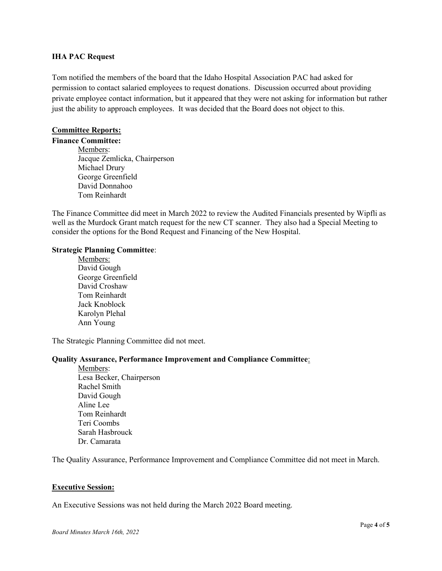#### IHA PAC Request

Tom notified the members of the board that the Idaho Hospital Association PAC had asked for permission to contact salaried employees to request donations. Discussion occurred about providing private employee contact information, but it appeared that they were not asking for information but rather just the ability to approach employees. It was decided that the Board does not object to this.

## Committee Reports:

Finance Committee: Members: Jacque Zemlicka, Chairperson Michael Drury George Greenfield David Donnahoo Tom Reinhardt

The Finance Committee did meet in March 2022 to review the Audited Financials presented by Wipfli as well as the Murdock Grant match request for the new CT scanner. They also had a Special Meeting to consider the options for the Bond Request and Financing of the New Hospital.

### Strategic Planning Committee:

 Members: David Gough George Greenfield David Croshaw Tom Reinhardt Jack Knoblock Karolyn Plehal Ann Young

The Strategic Planning Committee did not meet.

## Quality Assurance, Performance Improvement and Compliance Committee:

 Members: Lesa Becker, Chairperson Rachel Smith David Gough Aline Lee Tom Reinhardt Teri Coombs Sarah Hasbrouck Dr. Camarata

The Quality Assurance, Performance Improvement and Compliance Committee did not meet in March.

#### Executive Session:

An Executive Sessions was not held during the March 2022 Board meeting.